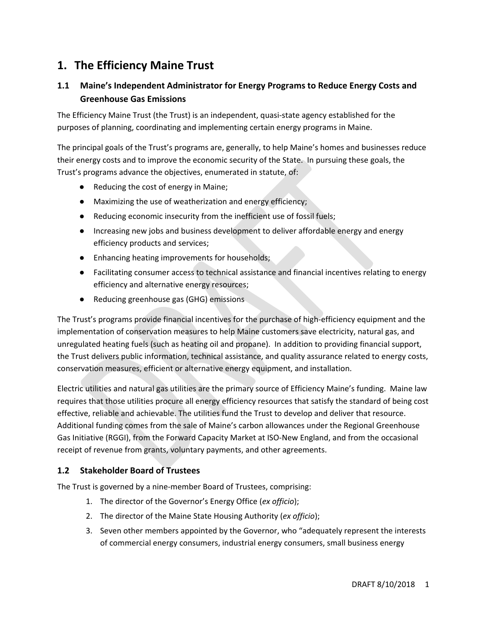## **1. The Efficiency Maine Trust**

## **1.1 Maine's Independent Administrator for Energy Programs to Reduce Energy Costs and Greenhouse Gas Emissions**

The Efficiency Maine Trust (the Trust) is an independent, quasi-state agency established for the purposes of planning, coordinating and implementing certain energy programs in Maine.

The principal goals of the Trust's programs are, generally, to help Maine's homes and businesses reduce their energy costs and to improve the economic security of the State. In pursuing these goals, the Trust's programs advance the objectives, enumerated in statute, of:

- Reducing the cost of energy in Maine;
- Maximizing the use of weatherization and energy efficiency;
- Reducing economic insecurity from the inefficient use of fossil fuels;
- Increasing new jobs and business development to deliver affordable energy and energy efficiency products and services;
- Enhancing heating improvements for households;
- Facilitating consumer access to technical assistance and financial incentives relating to energy efficiency and alternative energy resources;
- Reducing greenhouse gas (GHG) emissions

The Trust's programs provide financial incentives for the purchase of high-efficiency equipment and the implementation of conservation measures to help Maine customers save electricity, natural gas, and unregulated heating fuels (such as heating oil and propane). In addition to providing financial support, the Trust delivers public information, technical assistance, and quality assurance related to energy costs, conservation measures, efficient or alternative energy equipment, and installation.

Electric utilities and natural gas utilities are the primary source of Efficiency Maine's funding. Maine law requires that those utilities procure all energy efficiency resources that satisfy the standard of being cost effective, reliable and achievable. The utilities fund the Trust to develop and deliver that resource. Additional funding comes from the sale of Maine's carbon allowances under the Regional Greenhouse Gas Initiative (RGGI), from the Forward Capacity Market at ISO-New England, and from the occasional receipt of revenue from grants, voluntary payments, and other agreements.

## **1.2 Stakeholder Board of Trustees**

The Trust is governed by a nine-member Board of Trustees, comprising:

- 1. The director of the Governor's Energy Office (*ex officio*);
- 2. The director of the Maine State Housing Authority (*ex officio*);
- 3. Seven other members appointed by the Governor, who "adequately represent the interests of commercial energy consumers, industrial energy consumers, small business energy